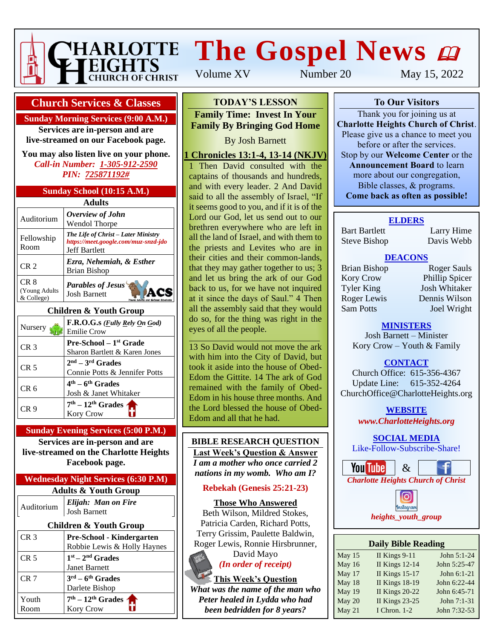

# **The Gospel News**  $\boldsymbol{\omega}$

Volume XV Number 20 May 15, 2022

#### **Church Services & Classes**

**Sunday Morning Services (9:00 A.M.)**

**Services are in-person and are live-streamed on our Facebook page.**

**You may also listen live on your phone.** *Call-in Number: 1-305-912-2590 PIN: 725871192#*

#### **Sunday School (10:15 A.M.)**

| <b>Adults</b>                                  |                                                                                                     |  |  |  |  |
|------------------------------------------------|-----------------------------------------------------------------------------------------------------|--|--|--|--|
| Auditorium                                     | Overview of John<br><b>Wendol Thorpe</b>                                                            |  |  |  |  |
| Fellowship<br>Room                             | The Life of Christ – Later Ministry<br>https://meet.google.com/muz-snzd-jdo<br><b>Jeff Bartlett</b> |  |  |  |  |
| CR <sub>2</sub>                                | Ezra, Nehemiah, & Esther<br><b>Brian Bishop</b>                                                     |  |  |  |  |
| CR <sub>8</sub><br>(Young Adults<br>& College) | <b>Parables of Jesus</b><br><b>Josh Barnett</b>                                                     |  |  |  |  |

#### **Children & Youth Group**

| Nursery         | F.R.O.G.s ( <i>Fully Rely On God</i> )<br><b>Emilie Crow</b>     |
|-----------------|------------------------------------------------------------------|
| CR <sub>3</sub> | <b>Pre-School</b> – $1st$ Grade<br>Sharon Bartlett & Karen Jones |
| CR <sub>5</sub> | $2nd - 3rd$ Grades<br>Connie Potts & Jennifer Potts              |
| CR 6            | $4th - 6th$ Grades<br>Josh & Janet Whitaker                      |
| CR 9            | $7th - 12th$ Grades $\sim$                                       |

#### **Sunday Evening Services (5:00 P.M.)**

**Services are in-person and are live-streamed on the Charlotte Heights Facebook page.**

#### **Wednesday Night Services (6:30 P.M) Adults & Youth Group**

| <b>Children &amp; Youth Group</b> |                                        |  |  |  |  |
|-----------------------------------|----------------------------------------|--|--|--|--|
| CR <sub>3</sub>                   | Pre-School - Kindergarten              |  |  |  |  |
|                                   | Robbie Lewis & Holly Haynes            |  |  |  |  |
| CR <sub>5</sub>                   | $1st - 2nd$ Grades                     |  |  |  |  |
|                                   | <b>Janet Barnett</b>                   |  |  |  |  |
| CR <sub>7</sub>                   | $3^{\text{rd}} - 6^{\text{th}}$ Grades |  |  |  |  |
|                                   | Darlete Bishop                         |  |  |  |  |
| Youth                             | $7th - 12th$ Grades $\sim$             |  |  |  |  |
| Room                              | <b>Kory Crow</b>                       |  |  |  |  |

## **To Our Visitors TODAY'S LESSON**

**Family Time: Invest In Your Family By Bringing God Home** 

Please give us a chance to meet you before or after the services of  $\mathbf B$  and  $\mathbf B$  are set the series of  $\mathbf B$ 

#### 1 **Chronicles 13:1-4, 13-14 (NKJV)**

1 Then David consulted with the captains of thousands and hundreds, and with every leader. 2 And David said to all the assembly of Israel, "If Lord our God, let us send out to our<br>brethren everywhere who are left in **Family Time:** all the land of Israel, and with them to **Time to Honor Mothers** the priests and Levites who are in their cities and their common-lands, and let us bring the ark of our God back to us, for we have not inquired at it since the days of Saul." 4 Then it seems good to you, and if it is of the Lord our God, let us send out to our that they may gather together to us; 3 all the assembly said that they would do so, for the thing was right in the eyes of all the people.

13 So David would not move the ark with him into the City of David, but took it aside into the house of Obed-Edom the Gittite. 14 The ark of God remained with the family of Obed-Edom in his house three months. And the Lord blessed the house of Obed-Edom and all that he had.

#### **BIBLE RESEARCH QUESTION Last Week's Question & Answer** *I am a mother who once carried 2*

*nations in my womb. Who am I?*

#### **Rebekah (Genesis 25:21-23)**

**Those Who Answered** Beth Wilson, Mildred Stokes, Patricia Carden, Richard Potts, Terry Grissim, Paulette Baldwin, Roger Lewis, Ronnie Hirsbrunner, David Mayo

*(In order of receipt)*

**This Week's Question** *What was the name of the man who Peter healed in Lydda who had been bedridden for 8 years?*

**To Our Visitors**

Thank you for joining us at **Charlotte Heights Church of Christ**. Please give us a chance to meet you before or after the services. Stop by our **Welcome Center** or the **Announcement Board** to learn more about our congregation, Bible classes, & programs. **Come back as often as possible!**

#### **ELDERS**

Bart Bartlett Larry Hime Steve Bishop Davis Webb

#### **DEACONS**

Kory Crow Phillip Spicer Tyler King Josh Whitaker Roger Lewis Dennis Wilson Sam Potts Joel Wright

Brian Bishop Roger Sauls

#### **MINISTERS**

Josh Barnett – Minister Kory Crow – Youth & Family

#### **CONTACT**

Church Office: 615-356-4367 Update Line: 615-352-4264 ChurchOffice@CharlotteHeights.org

**WEBSITE**

**Media Postings** *www.CharlotteHeights.org*

**SOCIAL MEDIA** Like-Follow-Subscribe-Share!



• Sunday Adult Auditorium Class nstagram • Wednesday Adult Bible Study *heights\_youth\_group*

| <b>Daily Bible Reading</b> |                       |              |  |  |  |  |
|----------------------------|-----------------------|--------------|--|--|--|--|
| May 15                     | II Kings 9-11         | John 5:1-24  |  |  |  |  |
| May 16                     | <b>II Kings 12-14</b> | John 5:25-47 |  |  |  |  |
| May 17                     | <b>II Kings 15-17</b> | John 6:1-21  |  |  |  |  |
| May 18                     | <b>II Kings 18-19</b> | John 6:22-44 |  |  |  |  |
| May 19                     | <b>II Kings 20-22</b> | John 6:45-71 |  |  |  |  |
| May 20                     | <b>II Kings 23-25</b> | John 7:1-31  |  |  |  |  |
| May 21                     | I Chron. 1-2          | John 7:32-53 |  |  |  |  |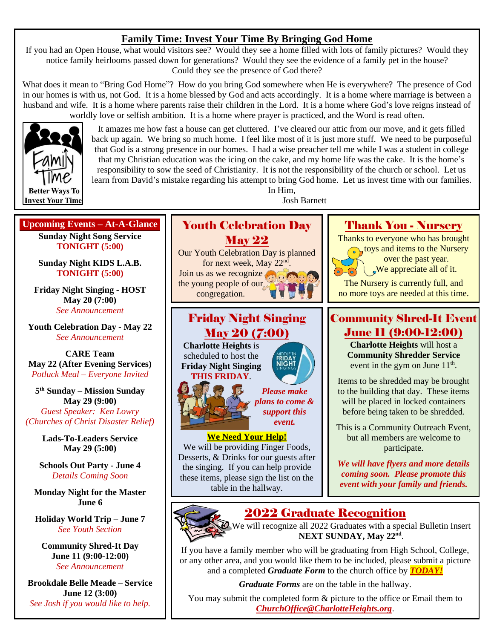## **Family Time: Invest Your Time By Bringing God Home**

If you had an Open House, what would visitors see? Would they see a home filled with lots of family pictures? Would they notice family heirlooms passed down for generations? Would they see the evidence of a family pet in the house? Could they see the presence of God there?

What does it mean to "Bring God Home"? How do you bring God somewhere when He is everywhere? The presence of God in our homes is with us, not God. It is a home blessed by God and acts accordingly. It is a home where marriage is between a husband and wife. It is a home where parents raise their children in the Lord. It is a home where God's love reigns instead of worldly love or selfish ambition. It is a home where prayer is practiced, and the Word is read often.



It amazes me how fast a house can get cluttered. I've cleared our attic from our move, and it gets filled back up again. We bring so much home. I feel like most of it is just more stuff. We need to be purposeful that God is a strong presence in our homes. I had a wise preacher tell me while I was a student in college that my Christian education was the icing on the cake, and my home life was the cake. It is the home's responsibility to sow the seed of Christianity. It is not the responsibility of the church or school. Let us learn from David's mistake regarding his attempt to bring God home. Let us invest time with our families.

> In Him, Josh Barnett

## **Upcoming Events – At-A-Glance Sunday Night Song Service TONIGHT (5:00)**

**Sunday Night KIDS L.A.B. TONIGHT (5:00)**

**Friday Night Singing - HOST May 20 (7:00)** *See Announcement*

**Youth Celebration Day - May 22** *See Announcement*

**CARE Team May 22 (After Evening Services)** *Potluck Meal – Everyone Invited*

**5 th Sunday – Mission Sunday May 29 (9:00)**

*Guest Speaker: Ken Lowry (Churches of Christ Disaster Relief)*

> **Lads-To-Leaders Service May 29 (5:00)**

**Schools Out Party - June 4** *Details Coming Soon*

**Monday Night for the Master June 6**

**Holiday World Trip – June 7** *See Youth Section*

**Community Shred-It Day June 11 (9:00-12:00)** *See Announcement*

**Brookdale Belle Meade – Service June 12 (3:00)** *See Josh if you would like to help.*



# Friday Night Singing May 20 (7:00)

**Charlotte Heights** is scheduled to host the **Friday Night Singing THIS FRIDAY**.



### *Please make plans to come & support this event.*

**FRIDAY** 

#### **We Need Your Help!**

We will be providing Finger Foods, Desserts, & Drinks for our guests after the singing. If you can help provide these items, please sign the list on the table in the hallway.

# Thank You - Nursery

Thanks to everyone who has brought

**toys and items to the Nursery** over the past year.  $\downarrow$  We appreciate all of it.

The Nursery is currently full, and no more toys are needed at this time.

# Community Shred-It Event June 11 (9:00-12:00)

**Charlotte Heights** will host a **Community Shredder Service** event in the gym on June  $11<sup>th</sup>$ .

Items to be shredded may be brought to the building that day. These items will be placed in locked containers before being taken to be shredded.

This is a Community Outreach Event, but all members are welcome to participate.

*We will have flyers and more details coming soon. Please promote this event with your family and friends.*

# 2022 Graduate Recognition



We will recognize all 2022 Graduates with a special Bulletin Insert NEXT SUNDAY, May 22<sup>nd</sup>.

If you have a family member who will be graduating from High School, College, or any other area, and you would like them to be included, please submit a picture and a completed *Graduate Form* to the church office by *TODAY!*

*Graduate Forms* are on the table in the hallway.

You may submit the completed form & picture to the office or Email them to *[ChurchOffice@CharlotteHeights.org](mailto:ChurchOffice@CharlotteHeights.org)*.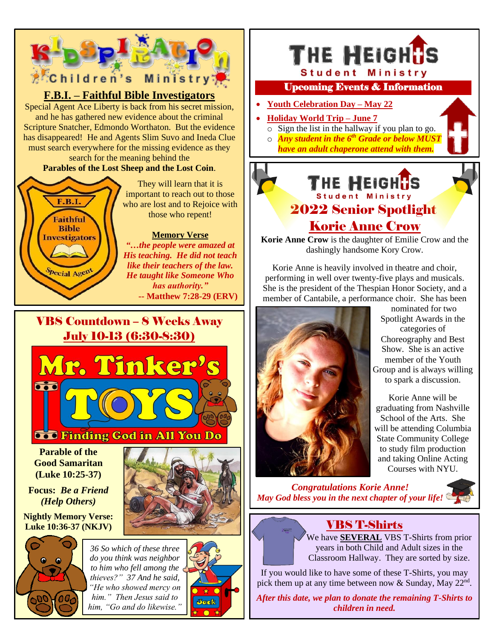

*him." Then Jesus said to him, "Go and do likewise."*

Jack

*After this date, we plan to donate the remaining T-Shirts to children in need.*